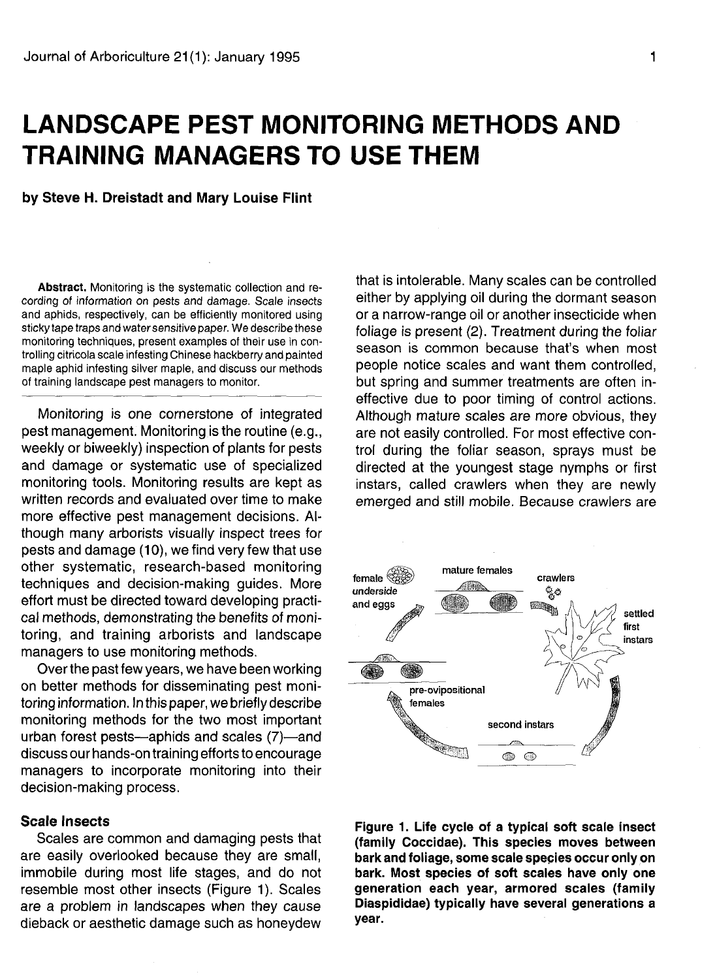# **LANDSCAPE PEST MONITORING METHODS AND TRAINING MANAGERS TO USE THEM**

**by Steve H. Dreistadt and Mary Louise Flint**

**Abstract.** Monitoring is the systematic collection and recording of information on pests and damage. Scale insects and aphids, respectively, can be efficiently monitored using sticky tape traps and water sensitive paper. We describe these monitoring techniques, present examples of their use in controlling citricola scale infesting Chinese hackberry and painted maple aphid infesting silver maple, and discuss our methods of training landscape pest managers to monitor.

Monitoring is one cornerstone of integrated pest management. Monitoring is the routine (e.g., weekly or biweekly) inspection of plants for pests and damage or systematic use of specialized monitoring tools. Monitoring results are kept as written records and evaluated over time to make more effective pest management decisions. Although many arborists visually inspect trees for pests and damage (10), we find very few that use other systematic, research-based monitoring techniques and decision-making guides. More effort must be directed toward developing practical methods, demonstrating the benefits of monitoring, and training arborists and landscape managers to use monitoring methods.

Over the past few years, we have been working on better methods for disseminating pest monitoring information. In this paper, we briefly describe monitoring methods for the two most important urban forest pests—aphids and scales (7)—and discuss our hands-on training efforts to encourage managers to incorporate monitoring into their decision-making process.

# **Scale Insects**

Scales are common and damaging pests that are easily overlooked because they are small, immobile during most life stages, and do not resemble most other insects (Figure 1). Scales are a problem in landscapes when they cause dieback or aesthetic damage such as honeydew

that is intolerable. Many scales can be controlled either by applying oil during the dormant season or a narrow-range oil or another insecticide when foliage is present (2). Treatment during the foliar season is common because that's when most people notice scales and want them controlled, but spring and summer treatments are often ineffective due to poor timing of control actions. Although mature scales are more obvious, they are not easily controlled. For most effective control during the foliar season, sprays must be directed at the youngest stage nymphs or first instars, called crawlers when they are newly emerged and still mobile. Because crawlers are



Figure 1. Life cycle of a typical soft scale insect (family Coccidae). This species moves between bark **and** foliage, some scale spepies occur only on bark. Most species of soft scales have only one generation each year, armored scales (family Diaspididae) typically have several generations a year.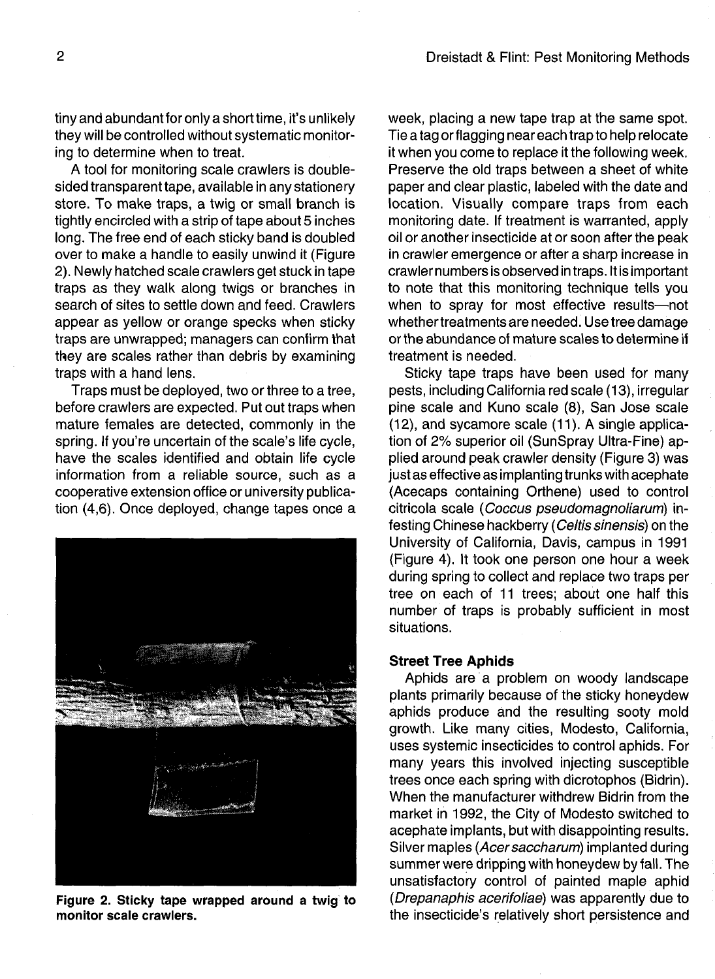tiny and abundant for only a short time, it's unlikely they will be controlled without systematic monitoring to determine when to treat.

A tool for monitoring scale crawlers is doublesided transparent tape, available in any stationery store. To make traps, a twig or small branch is tightly encircled with a strip of tape about 5 inches long. The free end of each sticky band is doubled over to make a handle to easily unwind it (Figure 2). Newly hatched scale crawlers get stuck in tape traps as they walk along twigs or branches in search of sites to settle down and feed. Crawlers appear as yellow or orange specks when sticky traps are unwrapped; managers can confirm that they are scales rather than debris by examining traps with a hand lens.

Traps must be deployed, two or three to a tree, before crawlers are expected. Put out traps when mature females are detected, commonly in the spring. If you're uncertain of the scale's life cycle, have the scales identified and obtain life cycle information from a reliable source, such as a cooperative extension office or university publication (4,6). Once deployed, change tapes once a



**Figure 2. Sticky tape wrapped around a twig to monitor scale crawlers.**

week, placing a new tape trap at the same spot. Tie a tag or flagging near each trap to help relocate it when you come to replace it the following week. Preserve the old traps between a sheet of white paper and clear plastic, labeled with the date and location. Visually compare traps from each monitoring date. If treatment is warranted, apply oil or another insecticide at or soon after the peak in crawler emergence or after a sharp increase in crawler numbers is observed in traps. It is important to note that this monitoring technique tells you when to spray for most effective results—not whethertreatments are needed. Use tree damage or the abundance of mature scales to determine if treatment is needed.

Sticky tape traps have been used for many pests, including California red scale (13), irregular pine scale and Kuno scale (8), San Jose scale (12), and sycamore scale (11). A single application of 2% superior oil (SunSpray Ultra-Fine) applied around peak crawler density (Figure 3) was just as effective as implanting trunks with acephate (Acecaps containing Orthene) used to control citricola scale (Coccus pseudomagnoliarum) infesting Chinese hackberry (Celtis sinensis) on the University of California, Davis, campus in 1991 (Figure 4). It took one person one hour a week during spring to collect and replace two traps per tree on each of 11 trees; about one half this number of traps is probably sufficient in most situations.

# **Street Tree Aphids**

Aphids are a problem on woody landscape plants primarily because of the sticky honeydew aphids produce and the resulting sooty mold growth, Like many cities, Modesto, California, uses systemic insecticides to control aphids. For many years this involved injecting susceptible trees once each spring with dicrotophos (Bidrin). When the manufacturer withdrew Bidrin from the market in 1992, the City of Modesto switched to acephate implants, but with disappointing results. Silver maples (Acer saccharum) implanted during summer were dripping with honeydew by fall. The unsatisfactory control of painted maple aphid (Drepanaphis acerifoliae) was apparently due to the insecticide's relatively short persistence and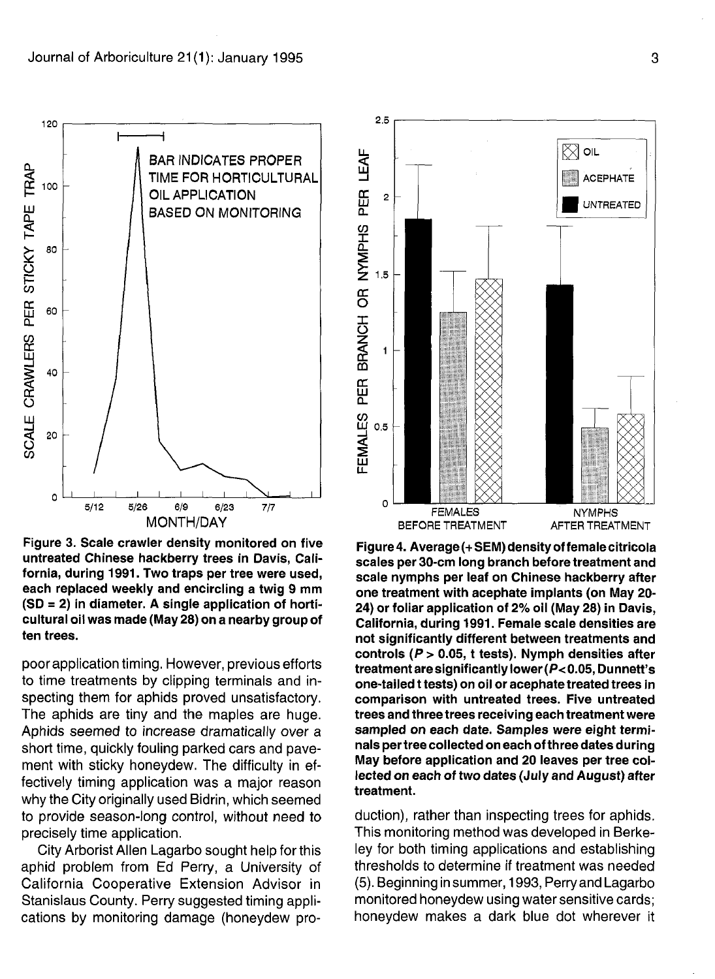

**Figure 3. Scale crawler density monitored on five untreated Chinese hackberry trees in Davis, California, during 1991. Two traps per tree were used, each replaced weekly and encircling a twig 9 mm (SD = 2) in diameter. A single application of horticultural oil was made (May 28) on a nearby group of ten trees.**

poor application timing. However, previous efforts to time treatments by clipping terminals and inspecting them for aphids proved unsatisfactory. The aphids are tiny and the maples are huge. Aphids seemed to increase dramatically over a short time, quickly fouling parked cars and pavement with sticky honeydew. The difficulty in effectively timing application was a major reason why the City originally used Bidrin, which seemed to provide season-long control, without need to precisely time application.

City Arborist Allen Lagarbo sought help for this aphid problem from Ed Perry, a University of California Cooperative Extension Advisor in Stanislaus County. Perry suggested timing applications by monitoring damage (honeydew pro-



**Figure 4. Average (+ SEM) density of female citricola scales per 30-cm long branch before treatment and scale nymphs per leaf on Chinese hackberry after one treatment with acephate implants (on May 20- 24) or foliar application of 2% oil (May 28) in Davis, California, during 1991. Female scale densities are not significantly different between treatments and controls (P > 0.05, t tests). Nymph densities after treatment are significantly lower (P< 0.05, Dunnett's one-tailed** t **tests) on oil or acephate treated trees in comparison with untreated trees. Five untreated trees and three trees receiving each treatment were sampled on each date. Samples were eight terminals per tree collected on each of three dates during May before application and 20 leaves per tree collected on each of two dates (July and August) after treatment.**

duction), rather than inspecting trees for aphids. This monitoring method was developed in Berkeley for both timing applications and establishing thresholds to determine if treatment was needed (5). Beginning in summer, 1993, Perry and Lagarbo monitored honeydew using water sensitive cards; honeydew makes a dark blue dot wherever it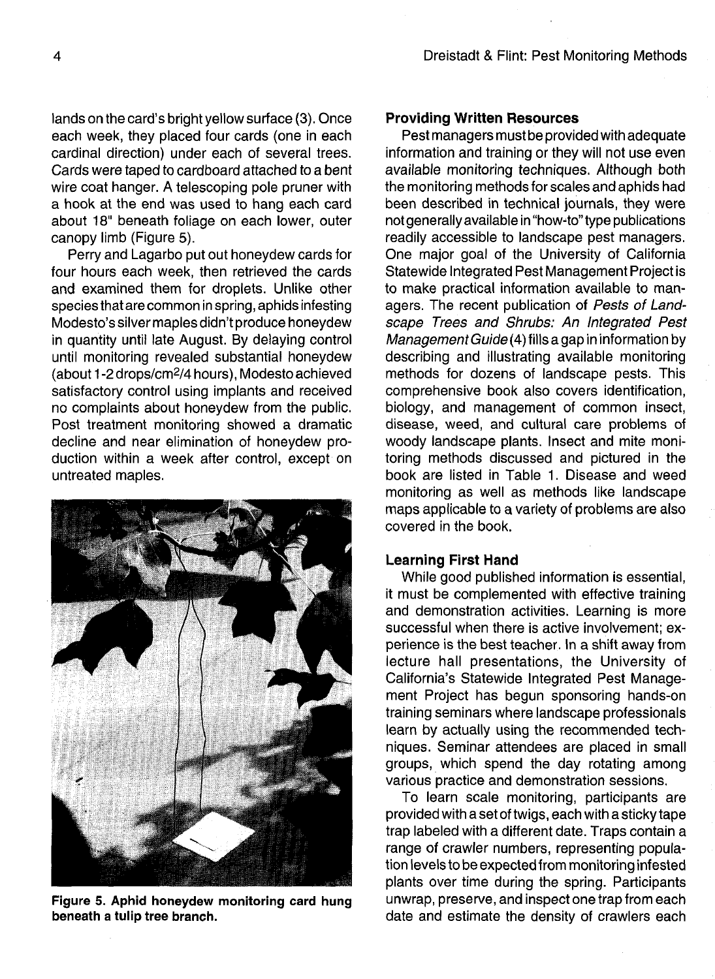lands on the card's bright yellow surface (3). Once each week, they placed four cards (one in each cardinal direction) under each of several trees. Cards were taped to cardboard attached to a bent wire coat hanger. A telescoping pole pruner with a hook at the end was used to hang each card about 18" beneath foliage on each lower, outer canopy limb (Figure 5).

Perry and Lagarbo put out honeydew cards for four hours each week, then retrieved the cards and examined them for droplets. Unlike other species that are common in spring, aphids infesting Modesto's silver maples didn't produce honeydew in quantity until late August. By delaying control until monitoring revealed substantial honeydew (about 1-2 drops/cm<sup>2</sup> /4 hours), Modesto achieved satisfactory control using implants and received no complaints about honeydew from the public. Post treatment monitoring showed a dramatic decline and near elimination of honeydew production within a week after control, except on untreated maples.



Figure 5. Aphid honeydew monitoring card hung beneath a tulip tree branch.

# **Providing Written Resources**

Pest managers must be provided with adequate information and training or they will not use even available monitoring techniques. Although both the monitoring methods for scales and aphids had been described in technical journals, they were not generally available in "how-to" type publications readily accessible to landscape pest managers. One major goal of the University of California Statewide Integrated Pest Management Project is to make practical information available to managers. The recent publication of Pests of Landscape Trees and Shrubs: An Integrated Pest Management Guide (4) fills a gap in information by describing and illustrating available monitoring methods for dozens of landscape pests. This comprehensive book also covers identification, biology, and management of common insect, disease, weed, and cultural care problems of woody landscape plants. Insect and mite monitoring methods discussed and pictured in the book are listed in Table 1. Disease and weed monitoring as well as methods like landscape maps applicable to a variety of problems are also covered in the book.

# **Learning First Hand**

While good published information is essential, it must be complemented with effective training and demonstration activities. Learning is more successful when there is active involvement; experience is the best teacher. In a shift away from lecture hall presentations, the University of California's Statewide Integrated Pest Management Project has begun sponsoring hands-on training seminars where landscape professionals learn by actually using the recommended techniques. Seminar attendees are placed in small groups, which spend the day rotating among various practice and demonstration sessions.

To learn scale monitoring, participants are provided with a set of twigs, each with a sticky tape trap labeled with a different date. Traps contain a range of crawler numbers, representing population levels to be expected from monitoring infested plants over time during the spring. Participants unwrap, preserve, and inspect one trap from each date and estimate the density of crawlers each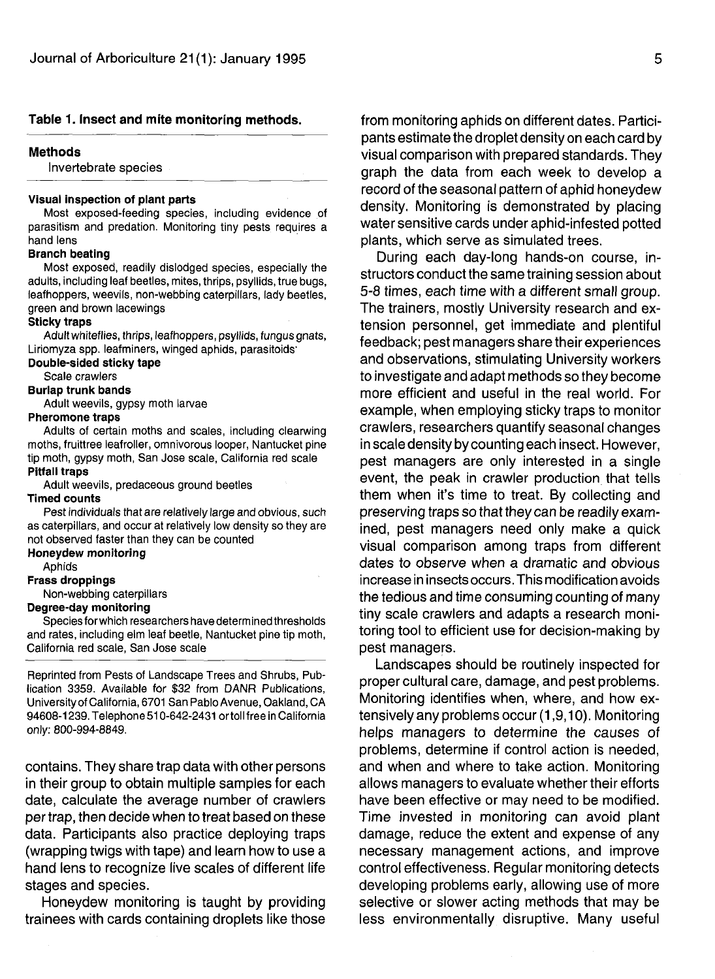# **Table 1. Insect and mite monitoring methods.**

# **Methods**

Invertebrate species

## **Visual inspection of plant parts**

Most exposed-feeding species, including evidence of parasitism and predation. Monitoring tiny pests requires a hand lens

# **Branch beating**

Most exposed, readily dislodged species, especially the adults, including leaf beetles, mites, thrips, psyllids, true bugs, leafhoppers, weevils, non-webbing caterpillars, lady beetles, green and brown lacewings

#### **Sticky traps**

Adult whiteflies, thrips, leafhoppers, psyllids, fungus gnats, Liriomyza spp. leafminers, winged aphids, parasitoids'

#### **Double-sided sticky tape**

Scale crawlers

# **Burlap trunk bands**

Adult weevils, gypsy moth larvae

#### **Pheromone traps**

Adults of certain moths and scales, including clearwing moths, fruittree leafroller, omnivorous looper, Nantucket pine tip moth, gypsy moth, San Jose scale, California red scale **Pitfall traps**

Adult weevils, predaceous ground beetles

## **Timed counts**

Pest individuals that are relatively large and obvious, such as caterpillars, and occur at relatively low density so they are not observed faster than they can be counted

**Honeydew monitoring**

# Aphids

**Frass droppings**

Non-webbing caterpillars

#### **Degree-day monitoring**

Species forwhich researchers have determined thresholds and rates, including elm leaf beetle, Nantucket pine tip moth, California red scale, San Jose scale

Reprinted from Pests of Landscape Trees and Shrubs, Publication 3359. Available for \$32 from DANR Publications, University of California, 6701 San Pablo Avenue, Oakland, CA 94608-1239. Telephone510-642-2431 ortoll free in California only: 800-994-8849.

contains. They share trap data with other persons in their group to obtain multiple samples for each date, calculate the average number of crawlers per trap, then decide when to treat based on these data. Participants also practice deploying traps (wrapping twigs with tape) and learn how to use a hand lens to recognize live scales of different life stages and species.

Honeydew monitoring is taught by providing trainees with cards containing droplets like those from monitoring aphids on different dates. Participants estimate the droplet density on each card by visual comparison with prepared standards. They graph the data from each week to develop a record of the seasonal pattern of aphid honeydew density. Monitoring is demonstrated by placing water sensitive cards under aphid-infested potted plants, which serve as simulated trees.

During each day-long hands-on course, instructors conduct the same training session about 5-8 times, each time with a different small group. The trainers, mostly University research and extension personnel, get immediate and plentiful feedback; pest managers share their experiences and observations, stimulating University workers to investigate and adapt methods so they become more efficient and useful in the real world. For example, when employing sticky traps to monitor crawlers, researchers quantify seasonal changes in scale density by counting each insect. However, pest managers are only interested in a single event, the peak in crawler production that tells them when it's time to treat. By collecting and preserving traps so that they can be readily examined, pest managers need only make a quick visual comparison among traps from different dates to observe when a dramatic and obvious increase in insects occurs. This modification avoids the tedious and time consuming counting of many tiny scale crawlers and adapts a research monitoring tool to efficient use for decision-making by pest managers.

Landscapes should be routinely inspected for proper cultural care, damage, and pest problems. Monitoring identifies when, where, and how extensively any problems occur (1,9,10). Monitoring helps managers to determine the causes of problems, determine if control action is needed, and when and where to take action. Monitoring allows managers to evaluate whether their efforts have been effective or may need to be modified. Time invested in monitoring can avoid plant damage, reduce the extent and expense of any necessary management actions, and improve control effectiveness. Regular monitoring detects developing problems early, allowing use of more selective or slower acting methods that may be less environmentally disruptive. Many useful